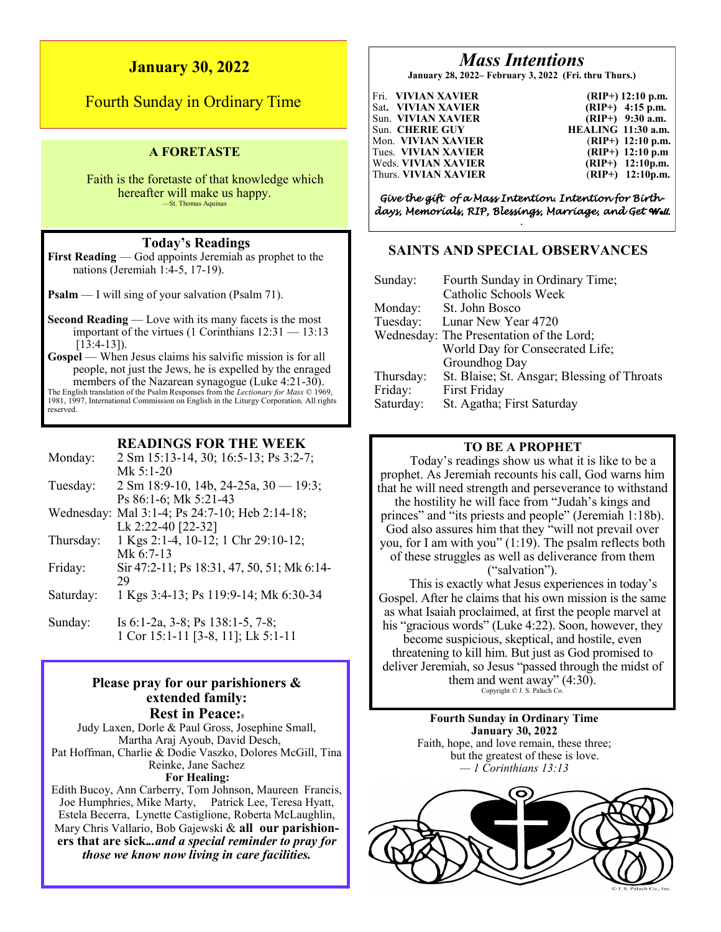# **January 30, 2022**

Fourth Sunday in Ordinary Time

# **A FORETASTE**

Faith is the foretaste of that knowledge which hereafter will make us happy. —St. Thomas Aquinas

# **Today's Readings**

**First Reading** — God appoints Jeremiah as prophet to the nations (Jeremiah 1:4-5, 17-19).

**Psalm** — I will sing of your salvation (Psalm 71).

**Second Reading** — Love with its many facets is the most important of the virtues (1 Corinthians  $12:31 - 13:13$  $[13:4-13]$ .

**Gospel** — When Jesus claims his salvific mission is for all people, not just the Jews, he is expelled by the enraged members of the Nazarean synagogue (Luke 4:21-30). The English translation of the Psalm Responses from the *Lectionary for Mass* © 1969, 1981, 1997, International Commission on English in the Liturgy Corporation. All rights reserved.

### **READINGS FOR THE WEEK**

- Monday: 2 Sm 15:13-14, 30; 16:5-13; Ps 3:2-7; Mk 5:1-20 Tuesday: 2 Sm 18:9-10, 14b, 24-25a, 30 — 19:3; Ps 86:1-6; Mk 5:21-43 Wednesday: Mal 3:1-4; Ps 24:7-10; Heb 2:14-18; Lk 2:22-40 [22-32] Thursday: 1 Kgs 2:1-4, 10-12; 1 Chr 29:10-12; Mk 6:7-13 Friday: Sir 47:2-11; Ps 18:31, 47, 50, 51; Mk 6:14- 29
- Saturday: 1 Kgs 3:4-13; Ps 119:9-14; Mk 6:30-34
- Sunday: Is 6:1-2a, 3-8; Ps 138:1-5, 7-8; 1 Cor 15:1-11 [3-8, 11]; Lk 5:1-11

# **Please pray for our parishioners & extended family: Rest in Peace:<sup>5</sup>**

Judy Laxen, Dorle & Paul Gross, Josephine Small, Martha Araj Ayoub, David Desch, Pat Hoffman, Charlie & Dodie Vaszko, Dolores McGill, Tina Reinke, Jane Sachez **For Healing:**  Edith Bucoy, Ann Carberry, Tom Johnson, Maureen Francis,

Joe Humphries, Mike Marty, Patrick Lee, Teresa Hyatt, Estela Becerra, Lynette Castiglione, Roberta McLaughlin, Mary Chris Vallario, Bob Gajewski & **all our parishioners that are sick.***..and a special reminder to pray for those we know now living in care facilities.*

# *Mass Intentions*

**January 28, 2022– February 3, 2022 (Fri. thru Thurs.)**

| Fri. VIVIAN XAVIER          | $(RIP+)$ 12:10 p.m. |
|-----------------------------|---------------------|
| Sat. VIVIAN XAVIER          | $(RIP+)$ 4:15 p.m.  |
| Sun. VIVIAN XAVIER          | $(RIP+)$ 9:30 a.m.  |
| Sun.  CHERIE GUY            | HEALING 11:30 a.m.  |
| Mon. VIVIAN XAVIER          | $(RIP+)$ 12:10 p.m. |
| Tues. VIVIAN XAVIER         | $(RIP+)$ 12:10 p.m  |
| Weds. <b>VIVIAN XAVIER</b>  | $(RIP+)$ 12:10p.m.  |
| Thurs. <b>VIVIAN XAVIER</b> | $(RIP+)$ 12:10p.m.  |

*Give the gift of a Mass Intention. Intention for Birthdays, Memorials, RIP, Blessings, Marriage, and Get Well. .* 

# **SAINTS AND SPECIAL OBSERVANCES**

| Sunday:   | Fourth Sunday in Ordinary Time;             |
|-----------|---------------------------------------------|
|           | Catholic Schools Week                       |
| Monday:   | St. John Bosco                              |
| Tuesday:  | Lunar New Year 4720                         |
|           | Wednesday: The Presentation of the Lord;    |
|           | World Day for Consecrated Life;             |
|           | Groundhog Day                               |
| Thursday: | St. Blaise; St. Ansgar; Blessing of Throats |
| Friday:   | First Friday                                |
| Saturday: | St. Agatha; First Saturday                  |

# **TO BE A PROPHET**

Today's readings show us what it is like to be a prophet. As Jeremiah recounts his call, God warns him that he will need strength and perseverance to withstand the hostility he will face from "Judah's kings and princes" and "its priests and people" (Jeremiah 1:18b). God also assures him that they "will not prevail over you, for I am with you" (1:19). The psalm reflects both of these struggles as well as deliverance from them ("salvation").

This is exactly what Jesus experiences in today's Gospel. After he claims that his own mission is the same as what Isaiah proclaimed, at first the people marvel at his "gracious words" (Luke 4:22). Soon, however, they become suspicious, skeptical, and hostile, even threatening to kill him. But just as God promised to deliver Jeremiah, so Jesus "passed through the midst of them and went away"  $(4:30)$ .<br>Copyright © J. S. Paluch Co.

> **Fourth Sunday in Ordinary Time January 30, 2022** Faith, hope, and love remain, these three; but the greatest of these is love. *— 1 Corinthians 13:13*